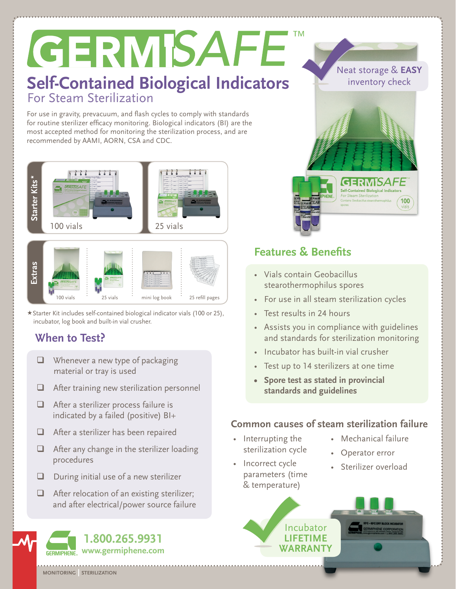# GERMISAFE **TM Self-Contained Biological Indicators** For Steam Sterilization

For use in gravity, prevacuum, and flash cycles to comply with standards for routine sterilizer efficacy monitoring. Biological indicators (BI) are the most accepted method for monitoring the sterilization process, and are recommended by AAMI, AORN, CSA and CDC.





Starter Kit includes self-contained biological indicator vials (100 or 25), incubator, log book and built-in vial crusher.

- $\Box$  Whenever a new type of packaging material or tray is used
- **After training new sterilization personnel**
- $\Box$  After a sterilizer process failure is indicated by a failed (positive) BI+
- $\Box$  After a sterilizer has been repaired
- $\Box$  After any change in the sterilizer loading procedures
- $\Box$  During initial use of a new sterilizer
- $\Box$  After relocation of an existing sterilizer; and after electrical/power source failure



Neat storage & **EASY** inventory check

> **GERMISAFF Self-Contained Biological Indicators** For Steam Sterilizatio

100

# **Features & Benefits**

- • Vials contain Geobacillus stearothermophilus spores
- For use in all steam sterilization cycles
- • Test results in 24 hours
- • Assists you in compliance with guidelines and standards for sterilization monitoring
- Incubator has built-in vial crusher
- • Test up to 14 sterilizers at one time
- **• Spore test as stated in provincial standards and guidelines**

### **Common causes of steam sterilization failure**

- • Interrupting the sterilization cycle
- Incorrect cycle parameters (time & temperature)
- • Mechanical failure
- • Operator error
- • Sterilizer overload





**monitoring | sterilization**